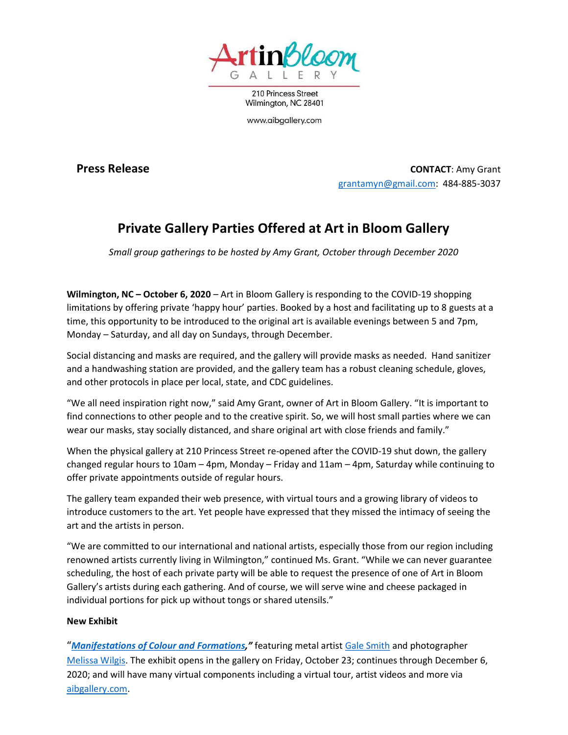

210 Princess Street Wilmington, NC 28401

www.aibgallery.com

**Press Release** CONTACT: Amy Grant grantamyn@gmail.com: 484-885-3037

## Private Gallery Parties Offered at Art in Bloom Gallery

Small group gatherings to be hosted by Amy Grant, October through December 2020

Wilmington, NC – October 6, 2020 – Art in Bloom Gallery is responding to the COVID-19 shopping limitations by offering private 'happy hour' parties. Booked by a host and facilitating up to 8 guests at a time, this opportunity to be introduced to the original art is available evenings between 5 and 7pm, Monday – Saturday, and all day on Sundays, through December.

Social distancing and masks are required, and the gallery will provide masks as needed. Hand sanitizer and a handwashing station are provided, and the gallery team has a robust cleaning schedule, gloves, and other protocols in place per local, state, and CDC guidelines.

"We all need inspiration right now," said Amy Grant, owner of Art in Bloom Gallery. "It is important to find connections to other people and to the creative spirit. So, we will host small parties where we can wear our masks, stay socially distanced, and share original art with close friends and family."

When the physical gallery at 210 Princess Street re-opened after the COVID-19 shut down, the gallery changed regular hours to 10am – 4pm, Monday – Friday and 11am – 4pm, Saturday while continuing to offer private appointments outside of regular hours.

The gallery team expanded their web presence, with virtual tours and a growing library of videos to introduce customers to the art. Yet people have expressed that they missed the intimacy of seeing the art and the artists in person.

"We are committed to our international and national artists, especially those from our region including renowned artists currently living in Wilmington," continued Ms. Grant. "While we can never guarantee scheduling, the host of each private party will be able to request the presence of one of Art in Bloom Gallery's artists during each gathering. And of course, we will serve wine and cheese packaged in individual portions for pick up without tongs or shared utensils."

## New Exhibit

"Manifestations of Colour and Formations," featuring metal artist Gale Smith and photographer Melissa Wilgis. The exhibit opens in the gallery on Friday, October 23; continues through December 6, 2020; and will have many virtual components including a virtual tour, artist videos and more via aibgallery.com.